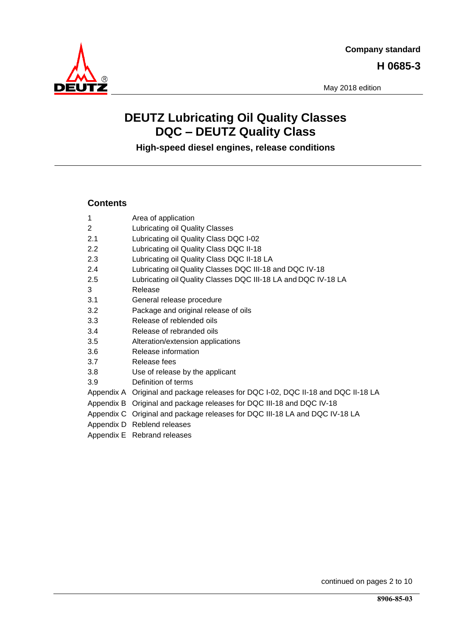

May 2018 edition

# **DEUTZ Lubricating Oil Quality Classes DQC – DEUTZ Quality Class**

**High-speed diesel engines, release conditions**

# **Contents**

| $\mathbf 1$    | Area of application                                                               |
|----------------|-----------------------------------------------------------------------------------|
| $\overline{2}$ | Lubricating oil Quality Classes                                                   |
| 2.1            | Lubricating oil Quality Class DQC I-02                                            |
| 2.2            | Lubricating oil Quality Class DQC II-18                                           |
| 2.3            | Lubricating oil Quality Class DQC II-18 LA                                        |
| 2.4            | Lubricating oil Quality Classes DQC III-18 and DQC IV-18                          |
| 2.5            | Lubricating oil Quality Classes DQC III-18 LA and DQC IV-18 LA                    |
| 3              | Release                                                                           |
| 3.1            | General release procedure                                                         |
| 3.2            | Package and original release of oils                                              |
| 3.3            | Release of reblended oils                                                         |
| 3.4            | Release of rebranded oils                                                         |
| 3.5            | Alteration/extension applications                                                 |
| 3.6            | Release information                                                               |
| 3.7            | Release fees                                                                      |
| 3.8            | Use of release by the applicant                                                   |
| 3.9            | Definition of terms                                                               |
|                | Appendix A Original and package releases for DQC I-02, DQC II-18 and DQC II-18 LA |
|                | Appendix B Original and package releases for DQC III-18 and DQC IV-18             |
|                | Appendix C Original and package releases for DQC III-18 LA and DQC IV-18 LA       |
|                | Appendix D Reblend releases                                                       |
|                | Appendix E Rebrand releases                                                       |

continued on pages 2 to 10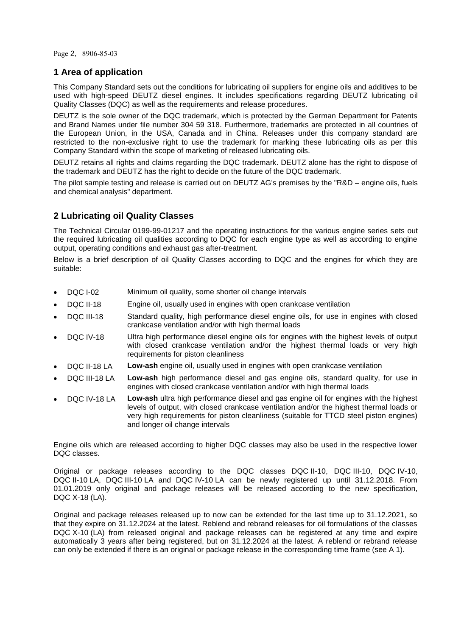Page 2, 8906-85-03

# <span id="page-1-0"></span>**1 Area of application**

This Company Standard sets out the conditions for lubricating oil suppliers for engine oils and additives to be used with high-speed DEUTZ diesel engines. It includes specifications regarding DEUTZ lubricating oil Quality Classes (DQC) as well as the requirements and release procedures.

DEUTZ is the sole owner of the DQC trademark, which is protected by the German Department for Patents and Brand Names under file number 304 59 318. Furthermore, trademarks are protected in all countries of the European Union, in the USA, Canada and in China. Releases under this company standard are restricted to the non-exclusive right to use the trademark for marking these lubricating oils as per this Company Standard within the scope of marketing of released lubricating oils.

DEUTZ retains all rights and claims regarding the DQC trademark. DEUTZ alone has the right to dispose of the trademark and DEUTZ has the right to decide on the future of the DQC trademark.

The pilot sample testing and release is carried out on DEUTZ AG's premises by the "R&D – engine oils, fuels and chemical analysis" department.

# <span id="page-1-1"></span>**2 Lubricating oil Quality Classes**

The Technical Circular 0199-99-01217 and the operating instructions for the various engine series sets out the required lubricating oil qualities according to DQC for each engine type as well as according to engine output, operating conditions and exhaust gas after-treatment.

Below is a brief description of oil Quality Classes according to DQC and the engines for which they are suitable:

- DQC I-02 Minimum oil quality, some shorter oil change intervals
- DQC II-18 Engine oil, usually used in engines with open crankcase ventilation
- DQC III-18 Standard quality, high performance diesel engine oils, for use in engines with closed crankcase ventilation and/or with high thermal loads
- DQC IV-18 Ultra high performance diesel engine oils for engines with the highest levels of output with closed crankcase ventilation and/or the highest thermal loads or very high requirements for piston cleanliness
- DQC II-18 LA **Low-ash** engine oil, usually used in engines with open crankcase ventilation
- DQC III-18 LA **Low-ash** high performance diesel and gas engine oils, standard quality, for use in engines with closed crankcase ventilation and/or with high thermal loads
- DQC IV-18 LA **Low-ash** ultra high performance diesel and gas engine oil for engines with the highest levels of output, with closed crankcase ventilation and/or the highest thermal loads or very high requirements for piston cleanliness (suitable for TTCD steel piston engines) and longer oil change intervals

Engine oils which are released according to higher DQC classes may also be used in the respective lower DQC classes.

Original or package releases according to the DQC classes DQC II-10, DQC III-10, DQC IV-10, DQC II-10 LA, DQC III-10 LA and DQC IV-10 LA can be newly registered up until 31.12.2018. From 01.01.2019 only original and package releases will be released according to the new specification, DQC X-18 (LA).

Original and package releases released up to now can be extended for the last time up to 31.12.2021, so that they expire on 31.12.2024 at the latest. Reblend and rebrand releases for oil formulations of the classes DQC X-10 (LA) from released original and package releases can be registered at any time and expire automatically 3 years after being registered, but on 31.12.2024 at the latest. A reblend or rebrand release can only be extended if there is an original or package release in the corresponding time frame (see A 1).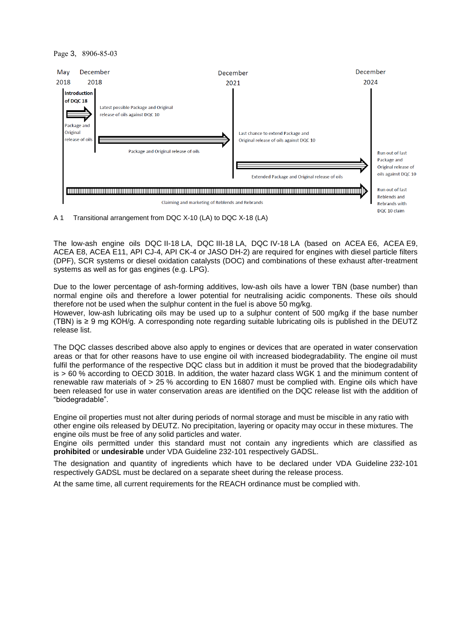#### Page 3, 8906-85-03



A 1 Transitional arrangement from DQC X-10 (LA) to DQC X-18 (LA)

The low-ash engine oils DQC II-18 LA, DQC III-18 LA, DQC IV-18 LA (based on ACEA E6, ACEA E9, ACEA E8, ACEA E11, API CJ-4, API CK-4 or JASO DH-2) are required for engines with diesel particle filters (DPF), SCR systems or diesel oxidation catalysts (DOC) and combinations of these exhaust after-treatment systems as well as for gas engines (e.g. LPG).

Due to the lower percentage of ash-forming additives, low-ash oils have a lower TBN (base number) than normal engine oils and therefore a lower potential for neutralising acidic components. These oils should therefore not be used when the sulphur content in the fuel is above 50 mg/kg.

However, low-ash lubricating oils may be used up to a sulphur content of 500 mg/kg if the base number (TBN) is ≥ 9 mg KOH/g. A corresponding note regarding suitable lubricating oils is published in the DEUTZ release list.

The DQC classes described above also apply to engines or devices that are operated in water conservation areas or that for other reasons have to use engine oil with increased biodegradability. The engine oil must fulfil the performance of the respective DQC class but in addition it must be proved that the biodegradability is > 60 % according to OECD 301B. In addition, the water hazard class WGK 1 and the minimum content of renewable raw materials of > 25 % according to EN 16807 must be complied with. Engine oils which have been released for use in water conservation areas are identified on the DQC release list with the addition of "biodegradable".

Engine oil properties must not alter during periods of normal storage and must be miscible in any ratio with other engine oils released by DEUTZ. No precipitation, layering or opacity may occur in these mixtures. The engine oils must be free of any solid particles and water.

Engine oils permitted under this standard must not contain any ingredients which are classified as **prohibited** or **undesirable** under VDA Guideline 232-101 respectively GADSL.

The designation and quantity of ingredients which have to be declared under VDA Guideline 232-101 respectively GADSL must be declared on a separate sheet during the release process.

At the same time, all current requirements for the REACH ordinance must be complied with.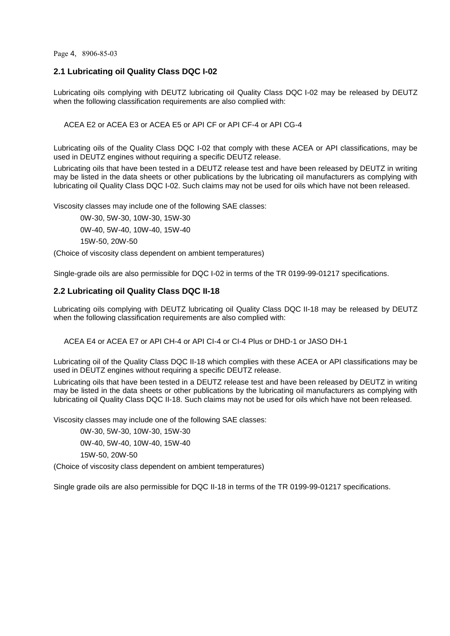Page 4, 8906-85-03

# <span id="page-3-0"></span>**2.1 Lubricating oil Quality Class DQC I-02**

Lubricating oils complying with DEUTZ lubricating oil Quality Class DQC I-02 may be released by DEUTZ when the following classification requirements are also complied with:

ACEA E2 or ACEA E3 or ACEA E5 or API CF or API CF-4 or API CG-4

Lubricating oils of the Quality Class DQC I-02 that comply with these ACEA or API classifications, may be used in DEUTZ engines without requiring a specific DEUTZ release.

Lubricating oils that have been tested in a DEUTZ release test and have been released by DEUTZ in writing may be listed in the data sheets or other publications by the lubricating oil manufacturers as complying with lubricating oil Quality Class DQC I-02. Such claims may not be used for oils which have not been released.

Viscosity classes may include one of the following SAE classes:

0W-30, 5W-30, 10W-30, 15W-30 0W-40, 5W-40, 10W-40, 15W-40 15W-50, 20W-50

(Choice of viscosity class dependent on ambient temperatures)

Single-grade oils are also permissible for DQC I-02 in terms of the TR 0199-99-01217 specifications.

# <span id="page-3-1"></span>**2.2 Lubricating oil Quality Class DQC II-18**

Lubricating oils complying with DEUTZ lubricating oil Quality Class DQC II-18 may be released by DEUTZ when the following classification requirements are also complied with:

ACEA E4 or ACEA E7 or API CH-4 or API CI-4 or CI-4 Plus or DHD-1 or JASO DH-1

Lubricating oil of the Quality Class DQC II-18 which complies with these ACEA or API classifications may be used in DEUTZ engines without requiring a specific DEUTZ release.

Lubricating oils that have been tested in a DEUTZ release test and have been released by DEUTZ in writing may be listed in the data sheets or other publications by the lubricating oil manufacturers as complying with lubricating oil Quality Class DQC II-18. Such claims may not be used for oils which have not been released.

Viscosity classes may include one of the following SAE classes:

0W-30, 5W-30, 10W-30, 15W-30 0W-40, 5W-40, 10W-40, 15W-40 15W-50, 20W-50

(Choice of viscosity class dependent on ambient temperatures)

Single grade oils are also permissible for DQC II-18 in terms of the TR 0199-99-01217 specifications.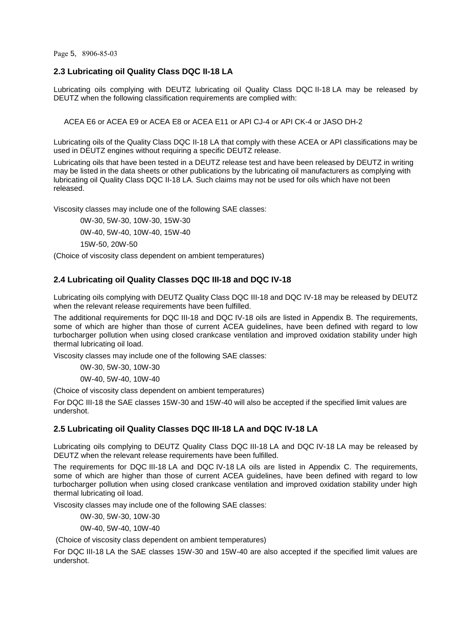Page 5, 8906-85-03

# <span id="page-4-0"></span>**2.3 Lubricating oil Quality Class DQC II-18 LA**

Lubricating oils complying with DEUTZ lubricating oil Quality Class DQC II-18 LA may be released by DEUTZ when the following classification requirements are complied with:

ACEA E6 or ACEA E9 or ACEA E8 or ACEA E11 or API CJ-4 or API CK-4 or JASO DH-2

Lubricating oils of the Quality Class DQC II-18 LA that comply with these ACEA or API classifications may be used in DEUTZ engines without requiring a specific DEUTZ release.

Lubricating oils that have been tested in a DEUTZ release test and have been released by DEUTZ in writing may be listed in the data sheets or other publications by the lubricating oil manufacturers as complying with lubricating oil Quality Class DQC II-18 LA. Such claims may not be used for oils which have not been released.

Viscosity classes may include one of the following SAE classes:

0W-30, 5W-30, 10W-30, 15W-30 0W-40, 5W-40, 10W-40, 15W-40 15W-50, 20W-50

(Choice of viscosity class dependent on ambient temperatures)

# <span id="page-4-1"></span>**2.4 Lubricating oil Quality Classes DQC III-18 and DQC IV-18**

Lubricating oils complying with DEUTZ Quality Class DQC III-18 and DQC IV-18 may be released by DEUTZ when the relevant release requirements have been fulfilled.

The additional requirements for DQC III-18 and DQC IV-18 oils are listed in Appendix B. The requirements, some of which are higher than those of current ACEA guidelines, have been defined with regard to low turbocharger pollution when using closed crankcase ventilation and improved oxidation stability under high thermal lubricating oil load.

Viscosity classes may include one of the following SAE classes:

0W-30, 5W-30, 10W-30

0W-40, 5W-40, 10W-40

(Choice of viscosity class dependent on ambient temperatures)

For DQC III-18 the SAE classes 15W-30 and 15W-40 will also be accepted if the specified limit values are undershot.

# <span id="page-4-2"></span>**2.5 Lubricating oil Quality Classes DQC III-18 LA and DQC IV-18 LA**

Lubricating oils complying to DEUTZ Quality Class DQC III-18 LA and DQC IV-18 LA may be released by DEUTZ when the relevant release requirements have been fulfilled.

The requirements for DQC III-18 LA and DQC IV-18 LA oils are listed in Appendix C. The requirements, some of which are higher than those of current ACEA guidelines, have been defined with regard to low turbocharger pollution when using closed crankcase ventilation and improved oxidation stability under high thermal lubricating oil load.

Viscosity classes may include one of the following SAE classes:

0W-30, 5W-30, 10W-30

0W-40, 5W-40, 10W-40

(Choice of viscosity class dependent on ambient temperatures)

For DQC III-18 LA the SAE classes 15W-30 and 15W-40 are also accepted if the specified limit values are undershot.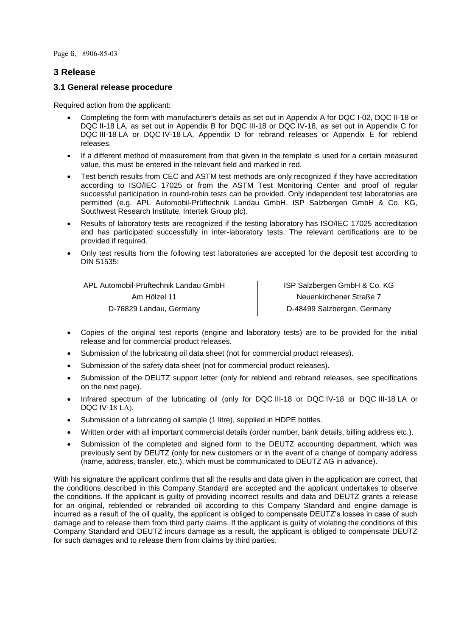Page 6, 8906-85-03

# **3 Release**

# <span id="page-5-0"></span>**3.1 General release procedure**

Required action from the applicant:

- Completing the form with manufacturer's details as set out in Appendix A for DQC I-02, DQC II-18 or DQC II-18 LA, as set out in Appendix B for DQC III-18 or DQC IV-18, as set out in Appendix C for DQC III-18 LA or DQC IV-18 LA, Appendix D for rebrand releases or Appendix E for reblend releases.
- If a different method of measurement from that given in the template is used for a certain measured value, this must be entered in the relevant field and marked in red.
- Test bench results from CEC and ASTM test methods are only recognized if they have accreditation according to ISO/IEC 17025 or from the ASTM Test Monitoring Center and proof of regular successful participation in round-robin tests can be provided. Only independent test laboratories are permitted (e.g. APL Automobil-Prüftechnik Landau GmbH, ISP Salzbergen GmbH & Co. KG, Southwest Research Institute, Intertek Group plc).
- Results of laboratory tests are recognized if the testing laboratory has ISO/IEC 17025 accreditation and has participated successfully in inter-laboratory tests. The relevant certifications are to be provided if required.
- Only test results from the following test laboratories are accepted for the deposit test according to DIN 51535:

| APL Automobil-Prüftechnik Landau GmbH | ISP Salzbergen GmbH & Co. KG |
|---------------------------------------|------------------------------|
| Am Hölzel 11                          | Neuenkirchener Straße 7      |
| D-76829 Landau, Germany               | D-48499 Salzbergen, Germany  |

- Copies of the original test reports (engine and laboratory tests) are to be provided for the initial release and for commercial product releases.
- Submission of the lubricating oil data sheet (not for commercial product releases).
- Submission of the safety data sheet (not for commercial product releases).
- Submission of the DEUTZ support letter (only for reblend and rebrand releases, see specifications on the next page).
- Infrared spectrum of the lubricating oil (only for DQC III-18 or DQC IV-18 or DQC III-18 LA or DQC IV-18 LA).
- Submission of a lubricating oil sample (1 litre), supplied in HDPE bottles.
- Written order with all important commercial details (order number, bank details, billing address etc.).
- Submission of the completed and signed form to the DEUTZ accounting department, which was previously sent by DEUTZ (only for new customers or in the event of a change of company address (name, address, transfer, etc.), which must be communicated to DEUTZ AG in advance).

With his signature the applicant confirms that all the results and data given in the application are correct, that the conditions described in this Company Standard are accepted and the applicant undertakes to observe the conditions. If the applicant is guilty of providing incorrect results and data and DEUTZ grants a release for an original, reblended or rebranded oil according to this Company Standard and engine damage is incurred as a result of the oil quality, the applicant is obliged to compensate DEUTZ's losses in case of such damage and to release them from third party claims. If the applicant is guilty of violating the conditions of this Company Standard and DEUTZ incurs damage as a result, the applicant is obliged to compensate DEUTZ for such damages and to release them from claims by third parties.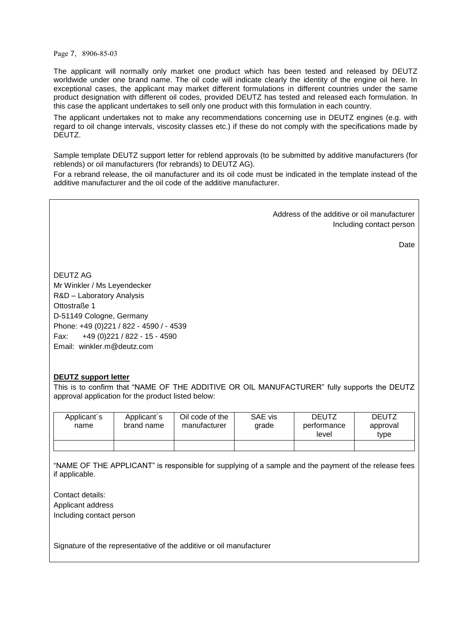Page 7, 8906-85-03

The applicant will normally only market one product which has been tested and released by DEUTZ worldwide under one brand name. The oil code will indicate clearly the identity of the engine oil here. In exceptional cases, the applicant may market different formulations in different countries under the same product designation with different oil codes, provided DEUTZ has tested and released each formulation. In this case the applicant undertakes to sell only one product with this formulation in each country.

The applicant undertakes not to make any recommendations concerning use in DEUTZ engines (e.g. with regard to oil change intervals, viscosity classes etc.) if these do not comply with the specifications made by DEUTZ.

Sample template DEUTZ support letter for reblend approvals (to be submitted by additive manufacturers (for reblends) or oil manufacturers (for rebrands) to DEUTZ AG).

For a rebrand release, the oil manufacturer and its oil code must be indicated in the template instead of the additive manufacturer and the oil code of the additive manufacturer.

> Address of the additive or oil manufacturer Including contact person

> > Date

DEUTZ AG Mr Winkler / Ms Leyendecker R&D – Laboratory Analysis Ottostraße 1 D-51149 Cologne, Germany Phone: +49 (0)221 / 822 - 4590 / - 4539 Fax: +49 (0)221 / 822 - 15 - 4590 Email: winkler.m@deutz.com

### **DEUTZ support letter**

This is to confirm that "NAME OF THE ADDITIVE OR OIL MANUFACTURER" fully supports the DEUTZ approval application for the product listed below:

| Applicant's<br>name | Applicant's<br>brand name | Oil code of the<br>manufacturer | SAE vis<br>grade | <b>DEUTZ</b><br>performance<br>level | <b>DEUTZ</b><br>approval<br>type |
|---------------------|---------------------------|---------------------------------|------------------|--------------------------------------|----------------------------------|
|                     |                           |                                 |                  |                                      |                                  |

"NAME OF THE APPLICANT" is responsible for supplying of a sample and the payment of the release fees if applicable.

Contact details: Applicant address Including contact person

Signature of the representative of the additive or oil manufacturer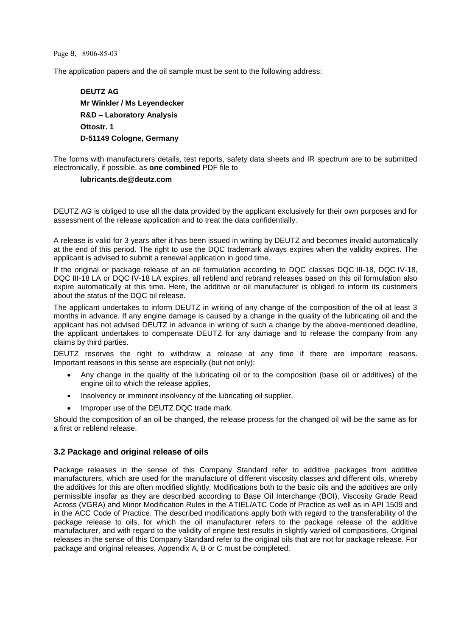#### Page 8, 8906-85-03

The application papers and the oil sample must be sent to the following address:

**DEUTZ AG Mr Winkler / Ms Leyendecker R&D – Laboratory Analysis Ottostr. 1 D-51149 Cologne, Germany**

The forms with manufacturers details, test reports, safety data sheets and IR spectrum are to be submitted electronically, if possible, as **one combined** PDF file to

#### **lubricants.de@deutz.com**

DEUTZ AG is obliged to use all the data provided by the applicant exclusively for their own purposes and for assessment of the release application and to treat the data confidentially.

A release is valid for 3 years after it has been issued in writing by DEUTZ and becomes invalid automatically at the end of this period. The right to use the DQC trademark always expires when the validity expires. The applicant is advised to submit a renewal application in good time.

If the original or package release of an oil formulation according to DQC classes DQC III-18, DQC IV-18, DQC III-18 LA or DQC IV-18 LA expires, all reblend and rebrand releases based on this oil formulation also expire automatically at this time. Here, the additive or oil manufacturer is obliged to inform its customers about the status of the DQC oil release.

The applicant undertakes to inform DEUTZ in writing of any change of the composition of the oil at least 3 months in advance. If any engine damage is caused by a change in the quality of the lubricating oil and the applicant has not advised DEUTZ in advance in writing of such a change by the above-mentioned deadline, the applicant undertakes to compensate DEUTZ for any damage and to release the company from any claims by third parties.

DEUTZ reserves the right to withdraw a release at any time if there are important reasons. Important reasons in this sense are especially (but not only):

- Any change in the quality of the lubricating oil or to the composition (base oil or additives) of the engine oil to which the release applies,
- Insolvency or imminent insolvency of the lubricating oil supplier,
- Improper use of the DEUTZ DQC trade mark.

Should the composition of an oil be changed, the release process for the changed oil will be the same as for a first or reblend release.

### <span id="page-7-0"></span>**3.2 Package and original release of oils**

Package releases in the sense of this Company Standard refer to additive packages from additive manufacturers, which are used for the manufacture of different viscosity classes and different oils, whereby the additives for this are often modified slightly. Modifications both to the basic oils and the additives are only permissible insofar as they are described according to Base Oil Interchange (BOI), Viscosity Grade Read Across (VGRA) and Minor Modification Rules in the ATIEL/ATC Code of Practice as well as in API 1509 and in the ACC Code of Practice. The described modifications apply both with regard to the transferability of the package release to oils, for which the oil manufacturer refers to the package release of the additive manufacturer, and with regard to the validity of engine test results in slightly varied oil compositions. Original releases in the sense of this Company Standard refer to the original oils that are not for package release. For package and original releases, Appendix A, B or C must be completed.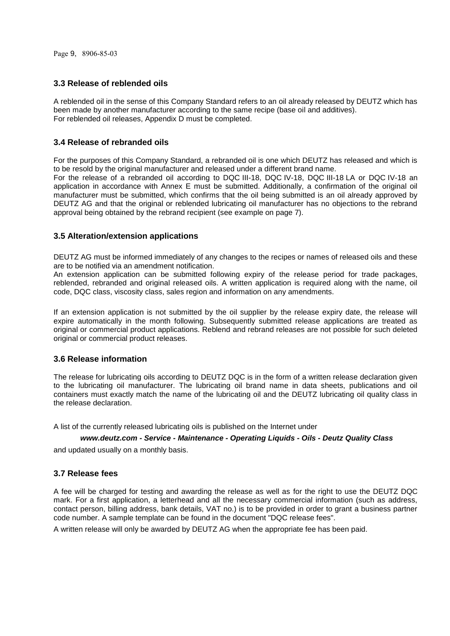# <span id="page-8-0"></span>**3.3 Release of reblended oils**

A reblended oil in the sense of this Company Standard refers to an oil already released by DEUTZ which has been made by another manufacturer according to the same recipe (base oil and additives). For reblended oil releases, Appendix D must be completed.

# <span id="page-8-1"></span>**3.4 Release of rebranded oils**

For the purposes of this Company Standard, a rebranded oil is one which DEUTZ has released and which is to be resold by the original manufacturer and released under a different brand name. For the release of a rebranded oil according to DQC III-18, DQC IV-18, DQC III-18 LA or DQC IV-18 an application in accordance with Annex E must be submitted. Additionally, a confirmation of the original oil manufacturer must be submitted, which confirms that the oil being submitted is an oil already approved by DEUTZ AG and that the original or reblended lubricating oil manufacturer has no objections to the rebrand approval being obtained by the rebrand recipient (see example on page 7).

# <span id="page-8-2"></span>**3.5 Alteration/extension applications**

DEUTZ AG must be informed immediately of any changes to the recipes or names of released oils and these are to be notified via an amendment notification.

An extension application can be submitted following expiry of the release period for trade packages, reblended, rebranded and original released oils. A written application is required along with the name, oil code, DQC class, viscosity class, sales region and information on any amendments.

If an extension application is not submitted by the oil supplier by the release expiry date, the release will expire automatically in the month following. Subsequently submitted release applications are treated as original or commercial product applications. Reblend and rebrand releases are not possible for such deleted original or commercial product releases.

### <span id="page-8-3"></span>**3.6 Release information**

The release for lubricating oils according to DEUTZ DQC is in the form of a written release declaration given to the lubricating oil manufacturer. The lubricating oil brand name in data sheets, publications and oil containers must exactly match the name of the lubricating oil and the DEUTZ lubricating oil quality class in the release declaration.

A list of the currently released lubricating oils is published on the Internet under

#### *www.deutz.com - Service - Maintenance - Operating Liquids - Oils - Deutz Quality Class*

and updated usually on a monthly basis.

### <span id="page-8-4"></span>**3.7 Release fees**

A fee will be charged for testing and awarding the release as well as for the right to use the DEUTZ DQC mark. For a first application, a letterhead and all the necessary commercial information (such as address, contact person, billing address, bank details, VAT no.) is to be provided in order to grant a business partner code number. A sample template can be found in the document "DQC release fees".

<span id="page-8-5"></span>A written release will only be awarded by DEUTZ AG when the appropriate fee has been paid.